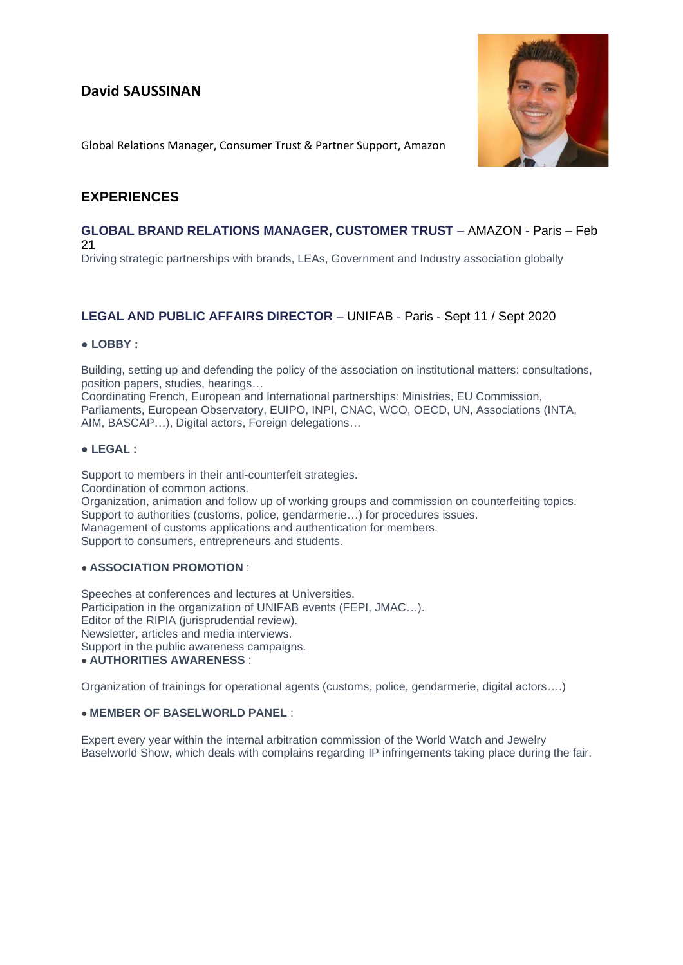# **David SAUSSINAN**



Global Relations Manager, Consumer Trust & Partner Support, Amazon

# **EXPERIENCES**

## **GLOBAL BRAND RELATIONS MANAGER, CUSTOMER TRUST** – AMAZON - Paris – Feb 21

Driving strategic partnerships with brands, LEAs, Government and Industry association globally

# **LEGAL AND PUBLIC AFFAIRS DIRECTOR** – UNIFAB - Paris - Sept 11 / Sept 2020

#### **● LOBBY :**

Building, setting up and defending the policy of the association on institutional matters: consultations, position papers, studies, hearings…

Coordinating French, European and International partnerships: Ministries, EU Commission, Parliaments, European Observatory, EUIPO, INPI, CNAC, WCO, OECD, UN, Associations (INTA, AIM, BASCAP…), Digital actors, Foreign delegations…

#### **● LEGAL :**

Support to members in their anti-counterfeit strategies. Coordination of common actions. Organization, animation and follow up of working groups and commission on counterfeiting topics. Support to authorities (customs, police, gendarmerie…) for procedures issues. Management of customs applications and authentication for members. Support to consumers, entrepreneurs and students.

#### ● **ASSOCIATION PROMOTION** :

Speeches at conferences and lectures at Universities. Participation in the organization of UNIFAB events (FEPI, JMAC…). Editor of the RIPIA (jurisprudential review). Newsletter, articles and media interviews. Support in the public awareness campaigns. ● **AUTHORITIES AWARENESS** :

Organization of trainings for operational agents (customs, police, gendarmerie, digital actors….)

#### ● **MEMBER OF BASELWORLD PANEL** :

Expert every year within the internal arbitration commission of the World Watch and Jewelry Baselworld Show, which deals with complains regarding IP infringements taking place during the fair.